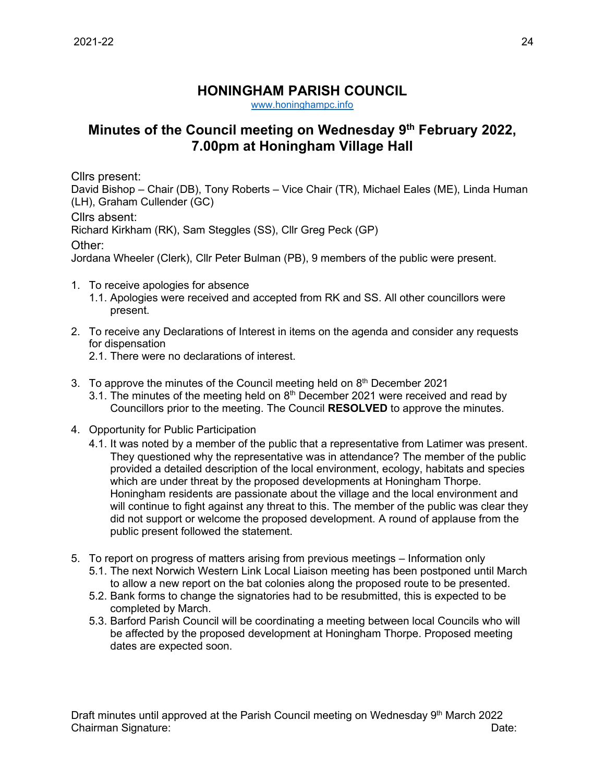## **HONINGHAM PARISH COUNCIL**

[www.honinghampc.info](http://www.honinghampc.info/)

## **Minutes of the Council meeting on Wednesday 9 th February 2022, 7.00pm at Honingham Village Hall**

Cllrs present:

David Bishop – Chair (DB), Tony Roberts – Vice Chair (TR), Michael Eales (ME), Linda Human (LH), Graham Cullender (GC)

Cllrs absent:

Richard Kirkham (RK), Sam Steggles (SS), Cllr Greg Peck (GP)

Other:

Jordana Wheeler (Clerk), Cllr Peter Bulman (PB), 9 members of the public were present.

- 1. To receive apologies for absence
	- 1.1. Apologies were received and accepted from RK and SS. All other councillors were present.
- 2. To receive any Declarations of Interest in items on the agenda and consider any requests for dispensation
	- 2.1. There were no declarations of interest.
- 3. To approve the minutes of the Council meeting held on  $8<sup>th</sup>$  December 2021
	- 3.1. The minutes of the meeting held on  $8<sup>th</sup>$  December 2021 were received and read by Councillors prior to the meeting. The Council **RESOLVED** to approve the minutes.
- 4. Opportunity for Public Participation
	- 4.1. It was noted by a member of the public that a representative from Latimer was present. They questioned why the representative was in attendance? The member of the public provided a detailed description of the local environment, ecology, habitats and species which are under threat by the proposed developments at Honingham Thorpe. Honingham residents are passionate about the village and the local environment and will continue to fight against any threat to this. The member of the public was clear they did not support or welcome the proposed development. A round of applause from the public present followed the statement.
- 5. To report on progress of matters arising from previous meetings Information only
	- 5.1. The next Norwich Western Link Local Liaison meeting has been postponed until March to allow a new report on the bat colonies along the proposed route to be presented.
	- 5.2. Bank forms to change the signatories had to be resubmitted, this is expected to be completed by March.
	- 5.3. Barford Parish Council will be coordinating a meeting between local Councils who will be affected by the proposed development at Honingham Thorpe. Proposed meeting dates are expected soon.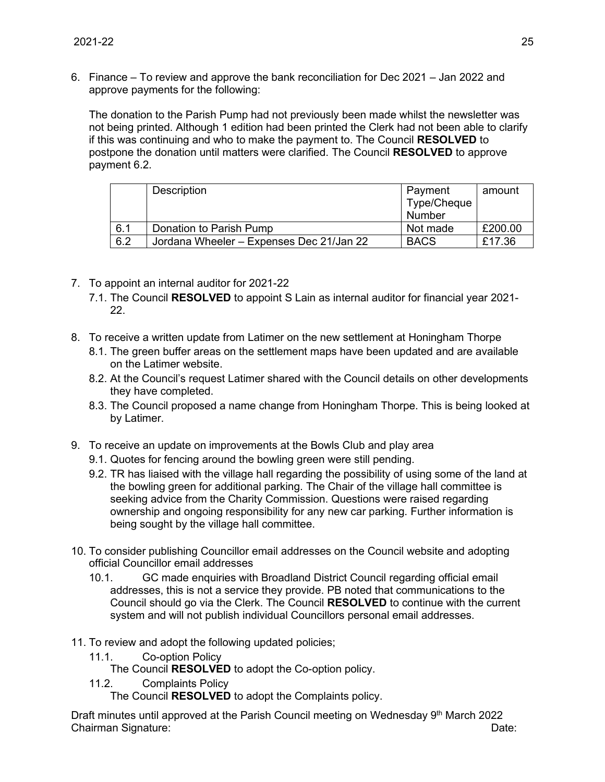6. Finance – To review and approve the bank reconciliation for Dec 2021 – Jan 2022 and approve payments for the following:

The donation to the Parish Pump had not previously been made whilst the newsletter was not being printed. Although 1 edition had been printed the Clerk had not been able to clarify if this was continuing and who to make the payment to. The Council **RESOLVED** to postpone the donation until matters were clarified. The Council **RESOLVED** to approve payment 6.2.

|     | Description                              | Payment<br>Type/Cheque<br>Number | amount  |
|-----|------------------------------------------|----------------------------------|---------|
| 6.1 | Donation to Parish Pump                  | Not made                         | £200.00 |
| 6.2 | Jordana Wheeler - Expenses Dec 21/Jan 22 | <b>BACS</b>                      | £17.36  |

- 7. To appoint an internal auditor for 2021-22
	- 7.1. The Council **RESOLVED** to appoint S Lain as internal auditor for financial year 2021- 22.
- 8. To receive a written update from Latimer on the new settlement at Honingham Thorpe
	- 8.1. The green buffer areas on the settlement maps have been updated and are available on the Latimer website.
	- 8.2. At the Council's request Latimer shared with the Council details on other developments they have completed.
	- 8.3. The Council proposed a name change from Honingham Thorpe. This is being looked at by Latimer.
- 9. To receive an update on improvements at the Bowls Club and play area
	- 9.1. Quotes for fencing around the bowling green were still pending.
	- 9.2. TR has liaised with the village hall regarding the possibility of using some of the land at the bowling green for additional parking. The Chair of the village hall committee is seeking advice from the Charity Commission. Questions were raised regarding ownership and ongoing responsibility for any new car parking. Further information is being sought by the village hall committee.
- 10. To consider publishing Councillor email addresses on the Council website and adopting official Councillor email addresses
	- 10.1. GC made enquiries with Broadland District Council regarding official email addresses, this is not a service they provide. PB noted that communications to the Council should go via the Clerk. The Council **RESOLVED** to continue with the current system and will not publish individual Councillors personal email addresses.
- 11. To review and adopt the following updated policies;
	- 11.1. Co-option Policy

The Council **RESOLVED** to adopt the Co-option policy.

11.2. Complaints Policy

The Council **RESOLVED** to adopt the Complaints policy.

Draft minutes until approved at the Parish Council meeting on Wednesday 9<sup>th</sup> March 2022 Chairman Signature: Date: Date: Date: Date: Date: Date: Date: Date: Date: Date: Date: Date: Date: Date: Date: Date: Date: Date: Date: Date: Date: Date: Date: Date: Date: Date: Date: Date: Date: Date: Date: Date: Date: Date